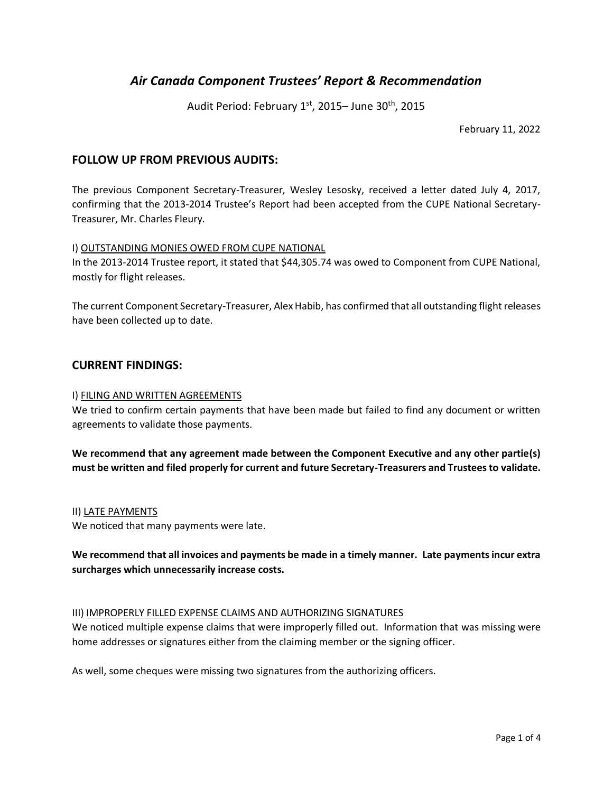# *Air Canada Component Trustees' Report & Recommendation*

Audit Period: February 1st, 2015– June 30<sup>th</sup>, 2015

February 11, 2022

# **FOLLOW UP FROM PREVIOUS AUDITS:**

The previous Component Secretary-Treasurer, Wesley Lesosky, received a letter dated July 4, 2017, confirming that the 2013-2014 Trustee's Report had been accepted from the CUPE National Secretary-Treasurer, Mr. Charles Fleury.

#### I) OUTSTANDING MONIES OWED FROM CUPE NATIONAL

In the 2013-2014 Trustee report, it stated that \$44,305.74 was owed to Component from CUPE National, mostly for flight releases.

The current Component Secretary-Treasurer, Alex Habib, has confirmed that all outstanding flight releases have been collected up to date.

## **CURRENT FINDINGS:**

#### I) FILING AND WRITTEN AGREEMENTS

We tried to confirm certain payments that have been made but failed to find any document or written agreements to validate those payments.

**We recommend that any agreement made between the Component Executive and any other partie(s) must be written and filed properly for current and future Secretary-Treasurers and Trustees to validate.**

#### II) LATE PAYMENTS

We noticed that many payments were late.

# **We recommend that all invoices and payments be made in a timely manner. Late payments incur extra surcharges which unnecessarily increase costs.**

#### III) IMPROPERLY FILLED EXPENSE CLAIMS AND AUTHORIZING SIGNATURES

We noticed multiple expense claims that were improperly filled out. Information that was missing were home addresses or signatures either from the claiming member or the signing officer.

As well, some cheques were missing two signatures from the authorizing officers.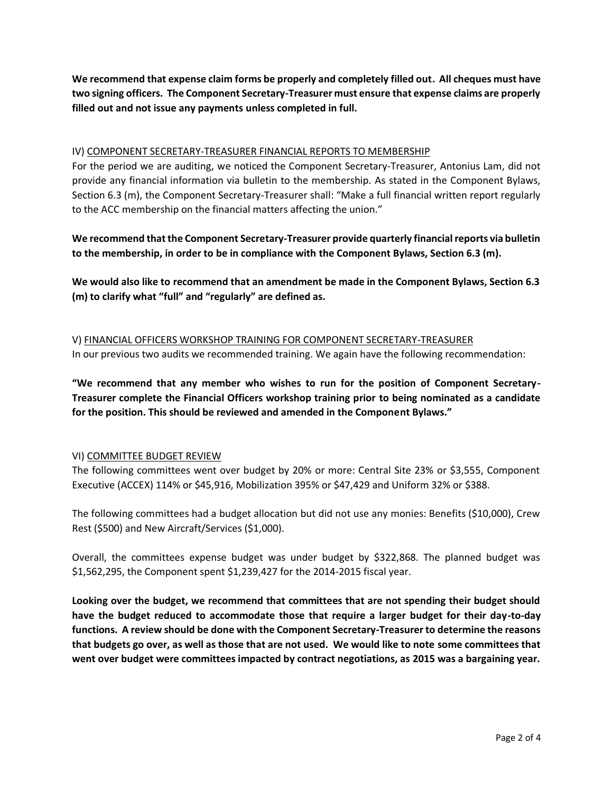**We recommend that expense claim forms be properly and completely filled out. All cheques must have two signing officers. The Component Secretary-Treasurer must ensure that expense claims are properly filled out and not issue any payments unless completed in full.** 

# IV) COMPONENT SECRETARY-TREASURER FINANCIAL REPORTS TO MEMBERSHIP

For the period we are auditing, we noticed the Component Secretary-Treasurer, Antonius Lam, did not provide any financial information via bulletin to the membership. As stated in the Component Bylaws, Section 6.3 (m), the Component Secretary-Treasurer shall: "Make a full financial written report regularly to the ACC membership on the financial matters affecting the union."

**We recommend that the Component Secretary-Treasurer provide quarterly financial reports via bulletin to the membership, in order to be in compliance with the Component Bylaws, Section 6.3 (m).** 

**We would also like to recommend that an amendment be made in the Component Bylaws, Section 6.3 (m) to clarify what "full" and "regularly" are defined as.**

V) FINANCIAL OFFICERS WORKSHOP TRAINING FOR COMPONENT SECRETARY-TREASURER In our previous two audits we recommended training. We again have the following recommendation:

**"We recommend that any member who wishes to run for the position of Component Secretary-Treasurer complete the Financial Officers workshop training prior to being nominated as a candidate for the position. This should be reviewed and amended in the Component Bylaws."**

## VI) COMMITTEE BUDGET REVIEW

The following committees went over budget by 20% or more: Central Site 23% or \$3,555, Component Executive (ACCEX) 114% or \$45,916, Mobilization 395% or \$47,429 and Uniform 32% or \$388.

The following committees had a budget allocation but did not use any monies: Benefits (\$10,000), Crew Rest (\$500) and New Aircraft/Services (\$1,000).

Overall, the committees expense budget was under budget by \$322,868. The planned budget was \$1,562,295, the Component spent \$1,239,427 for the 2014-2015 fiscal year.

**Looking over the budget, we recommend that committees that are not spending their budget should have the budget reduced to accommodate those that require a larger budget for their day-to-day functions. A review should be done with the Component Secretary-Treasurer to determine the reasons that budgets go over, as well as those that are not used. We would like to note some committees that went over budget were committees impacted by contract negotiations, as 2015 was a bargaining year.**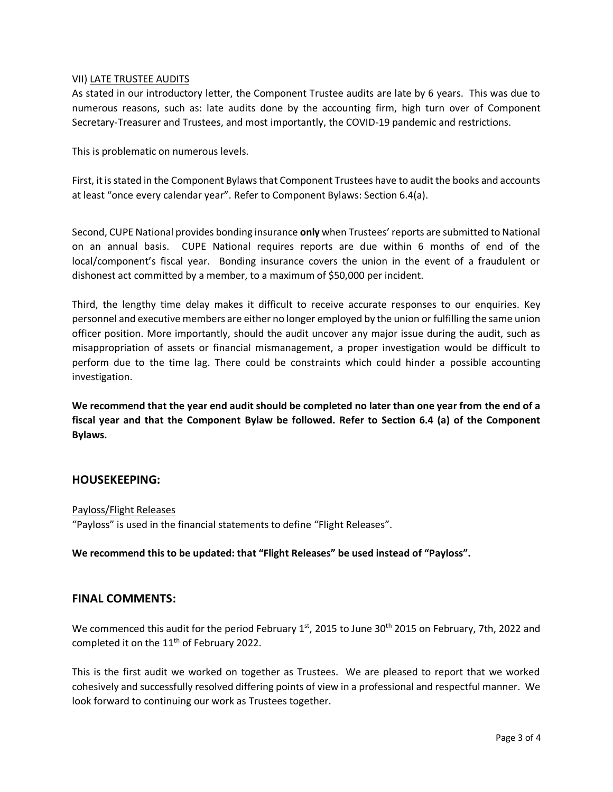#### VII) LATE TRUSTEE AUDITS

As stated in our introductory letter, the Component Trustee audits are late by 6 years. This was due to numerous reasons, such as: late audits done by the accounting firm, high turn over of Component Secretary-Treasurer and Trustees, and most importantly, the COVID-19 pandemic and restrictions.

This is problematic on numerous levels.

First, it is stated in the Component Bylaws that Component Trustees have to audit the books and accounts at least "once every calendar year". Refer to Component Bylaws: Section 6.4(a).

Second, CUPE National provides bonding insurance **only** when Trustees' reports are submitted to National on an annual basis. CUPE National requires reports are due within 6 months of end of the local/component's fiscal year. Bonding insurance covers the union in the event of a fraudulent or dishonest act committed by a member, to a maximum of \$50,000 per incident.

Third, the lengthy time delay makes it difficult to receive accurate responses to our enquiries. Key personnel and executive members are either no longer employed by the union or fulfilling the same union officer position. More importantly, should the audit uncover any major issue during the audit, such as misappropriation of assets or financial mismanagement, a proper investigation would be difficult to perform due to the time lag. There could be constraints which could hinder a possible accounting investigation.

**We recommend that the year end audit should be completed no later than one year from the end of a fiscal year and that the Component Bylaw be followed. Refer to Section 6.4 (a) of the Component Bylaws.**

## **HOUSEKEEPING:**

#### Payloss/Flight Releases

"Payloss" is used in the financial statements to define "Flight Releases".

**We recommend this to be updated: that "Flight Releases" be used instead of "Payloss".**

## **FINAL COMMENTS:**

We commenced this audit for the period February 1<sup>st</sup>, 2015 to June 30<sup>th</sup> 2015 on February, 7th, 2022 and completed it on the 11<sup>th</sup> of February 2022.

This is the first audit we worked on together as Trustees. We are pleased to report that we worked cohesively and successfully resolved differing points of view in a professional and respectful manner. We look forward to continuing our work as Trustees together.